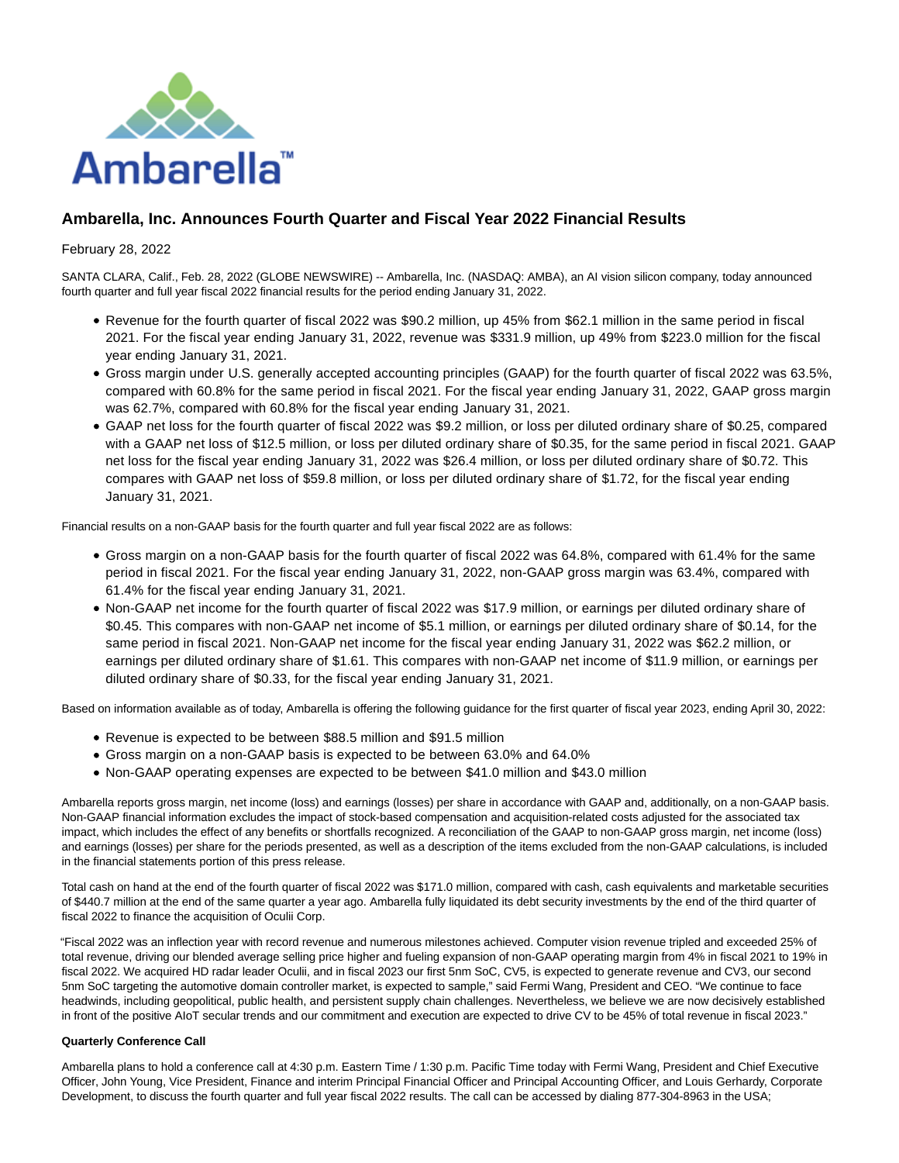

# **Ambarella, Inc. Announces Fourth Quarter and Fiscal Year 2022 Financial Results**

### February 28, 2022

SANTA CLARA, Calif., Feb. 28, 2022 (GLOBE NEWSWIRE) -- Ambarella, Inc. (NASDAQ: AMBA), an AI vision silicon company, today announced fourth quarter and full year fiscal 2022 financial results for the period ending January 31, 2022.

- Revenue for the fourth quarter of fiscal 2022 was \$90.2 million, up 45% from \$62.1 million in the same period in fiscal 2021. For the fiscal year ending January 31, 2022, revenue was \$331.9 million, up 49% from \$223.0 million for the fiscal year ending January 31, 2021.
- Gross margin under U.S. generally accepted accounting principles (GAAP) for the fourth quarter of fiscal 2022 was 63.5%, compared with 60.8% for the same period in fiscal 2021. For the fiscal year ending January 31, 2022, GAAP gross margin was 62.7%, compared with 60.8% for the fiscal year ending January 31, 2021.
- GAAP net loss for the fourth quarter of fiscal 2022 was \$9.2 million, or loss per diluted ordinary share of \$0.25, compared with a GAAP net loss of \$12.5 million, or loss per diluted ordinary share of \$0.35, for the same period in fiscal 2021. GAAP net loss for the fiscal year ending January 31, 2022 was \$26.4 million, or loss per diluted ordinary share of \$0.72. This compares with GAAP net loss of \$59.8 million, or loss per diluted ordinary share of \$1.72, for the fiscal year ending January 31, 2021.

Financial results on a non-GAAP basis for the fourth quarter and full year fiscal 2022 are as follows:

- Gross margin on a non-GAAP basis for the fourth quarter of fiscal 2022 was 64.8%, compared with 61.4% for the same period in fiscal 2021. For the fiscal year ending January 31, 2022, non-GAAP gross margin was 63.4%, compared with 61.4% for the fiscal year ending January 31, 2021.
- Non-GAAP net income for the fourth quarter of fiscal 2022 was \$17.9 million, or earnings per diluted ordinary share of \$0.45. This compares with non-GAAP net income of \$5.1 million, or earnings per diluted ordinary share of \$0.14, for the same period in fiscal 2021. Non-GAAP net income for the fiscal year ending January 31, 2022 was \$62.2 million, or earnings per diluted ordinary share of \$1.61. This compares with non-GAAP net income of \$11.9 million, or earnings per diluted ordinary share of \$0.33, for the fiscal year ending January 31, 2021.

Based on information available as of today, Ambarella is offering the following guidance for the first quarter of fiscal year 2023, ending April 30, 2022:

- Revenue is expected to be between \$88.5 million and \$91.5 million
- Gross margin on a non-GAAP basis is expected to be between 63.0% and 64.0%
- Non-GAAP operating expenses are expected to be between \$41.0 million and \$43.0 million

Ambarella reports gross margin, net income (loss) and earnings (losses) per share in accordance with GAAP and, additionally, on a non-GAAP basis. Non-GAAP financial information excludes the impact of stock-based compensation and acquisition-related costs adjusted for the associated tax impact, which includes the effect of any benefits or shortfalls recognized. A reconciliation of the GAAP to non-GAAP gross margin, net income (loss) and earnings (losses) per share for the periods presented, as well as a description of the items excluded from the non-GAAP calculations, is included in the financial statements portion of this press release.

Total cash on hand at the end of the fourth quarter of fiscal 2022 was \$171.0 million, compared with cash, cash equivalents and marketable securities of \$440.7 million at the end of the same quarter a year ago. Ambarella fully liquidated its debt security investments by the end of the third quarter of fiscal 2022 to finance the acquisition of Oculii Corp.

"Fiscal 2022 was an inflection year with record revenue and numerous milestones achieved. Computer vision revenue tripled and exceeded 25% of total revenue, driving our blended average selling price higher and fueling expansion of non-GAAP operating margin from 4% in fiscal 2021 to 19% in fiscal 2022. We acquired HD radar leader Oculii, and in fiscal 2023 our first 5nm SoC, CV5, is expected to generate revenue and CV3, our second 5nm SoC targeting the automotive domain controller market, is expected to sample," said Fermi Wang, President and CEO. "We continue to face headwinds, including geopolitical, public health, and persistent supply chain challenges. Nevertheless, we believe we are now decisively established in front of the positive AIoT secular trends and our commitment and execution are expected to drive CV to be 45% of total revenue in fiscal 2023."

#### **Quarterly Conference Call**

Ambarella plans to hold a conference call at 4:30 p.m. Eastern Time / 1:30 p.m. Pacific Time today with Fermi Wang, President and Chief Executive Officer, John Young, Vice President, Finance and interim Principal Financial Officer and Principal Accounting Officer, and Louis Gerhardy, Corporate Development, to discuss the fourth quarter and full year fiscal 2022 results. The call can be accessed by dialing 877-304-8963 in the USA;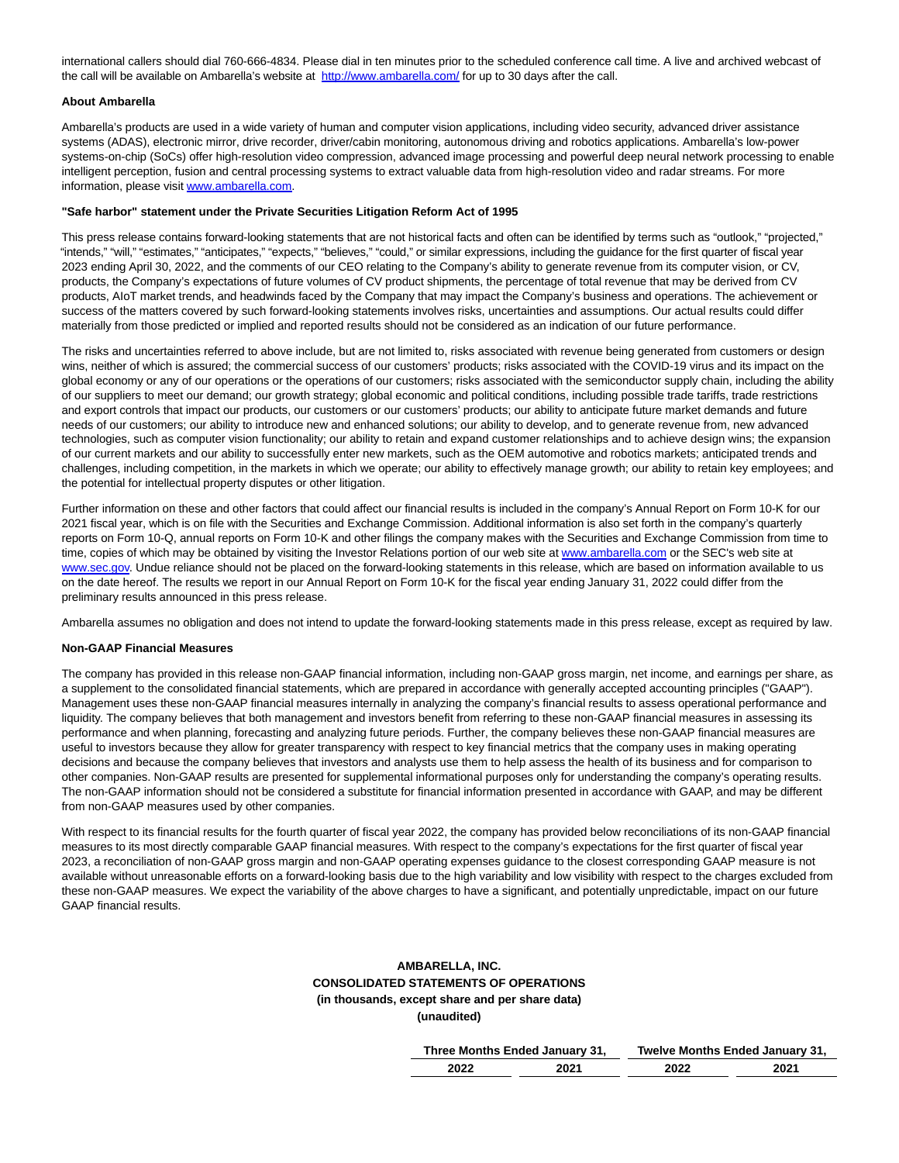international callers should dial 760-666-4834. Please dial in ten minutes prior to the scheduled conference call time. A live and archived webcast of the call will be available on Ambarella's website at [http://www.ambarella.com/ f](https://www.globenewswire.com/Tracker?data=3OF-i-Lsb7iZHAwA7edkFgA0bVXUviWjFtgSf0azCzllw08xLS5wWOjY6oL4Z0BOu8jIlL75rRDjNKHKNEp8NjnFH6DMglknhrU9go9Igg8=)or up to 30 days after the call.

#### **About Ambarella**

Ambarella's products are used in a wide variety of human and computer vision applications, including video security, advanced driver assistance systems (ADAS), electronic mirror, drive recorder, driver/cabin monitoring, autonomous driving and robotics applications. Ambarella's low-power systems-on-chip (SoCs) offer high-resolution video compression, advanced image processing and powerful deep neural network processing to enable intelligent perception, fusion and central processing systems to extract valuable data from high-resolution video and radar streams. For more information, please visi[t www.ambarella.com.](https://www.globenewswire.com/Tracker?data=7WD9yxv0r8pjoQOW0fV2xeabKh43zGZeqE93G239O_mdRzYwug0vuFBuJG5mPjZ21VzQU00WxtTL1sK9LL3B9TLExAZPmCY8Rl11azGDDlE=)

#### **"Safe harbor" statement under the Private Securities Litigation Reform Act of 1995**

This press release contains forward-looking statements that are not historical facts and often can be identified by terms such as "outlook," "projected," "intends," "will," "estimates," "anticipates," "expects," "believes," "could," or similar expressions, including the guidance for the first quarter of fiscal year 2023 ending April 30, 2022, and the comments of our CEO relating to the Company's ability to generate revenue from its computer vision, or CV, products, the Company's expectations of future volumes of CV product shipments, the percentage of total revenue that may be derived from CV products, AIoT market trends, and headwinds faced by the Company that may impact the Company's business and operations. The achievement or success of the matters covered by such forward-looking statements involves risks, uncertainties and assumptions. Our actual results could differ materially from those predicted or implied and reported results should not be considered as an indication of our future performance.

The risks and uncertainties referred to above include, but are not limited to, risks associated with revenue being generated from customers or design wins, neither of which is assured; the commercial success of our customers' products; risks associated with the COVID-19 virus and its impact on the global economy or any of our operations or the operations of our customers; risks associated with the semiconductor supply chain, including the ability of our suppliers to meet our demand; our growth strategy; global economic and political conditions, including possible trade tariffs, trade restrictions and export controls that impact our products, our customers or our customers' products; our ability to anticipate future market demands and future needs of our customers; our ability to introduce new and enhanced solutions; our ability to develop, and to generate revenue from, new advanced technologies, such as computer vision functionality; our ability to retain and expand customer relationships and to achieve design wins; the expansion of our current markets and our ability to successfully enter new markets, such as the OEM automotive and robotics markets; anticipated trends and challenges, including competition, in the markets in which we operate; our ability to effectively manage growth; our ability to retain key employees; and the potential for intellectual property disputes or other litigation.

Further information on these and other factors that could affect our financial results is included in the company's Annual Report on Form 10-K for our 2021 fiscal year, which is on file with the Securities and Exchange Commission. Additional information is also set forth in the company's quarterly reports on Form 10-Q, annual reports on Form 10-K and other filings the company makes with the Securities and Exchange Commission from time to time, copies of which may be obtained by visiting the Investor Relations portion of our web site at [www.ambarella.com o](https://www.globenewswire.com/Tracker?data=7WD9yxv0r8pjoQOW0fV2xV322_cwDFo-0j4YO6U65aCey2Fmipp4fr-4IJCd9C-bBe2zgIQW6ypaxLJk-1xpew==)r the SEC's web site at [www.sec.gov.](https://www.globenewswire.com/Tracker?data=Hce8-0jz1WQjtV8bgz3z2L_McIZtBioyyR7SBcFs-v5mIj5FYsZ0LbXMk4elrEIDm7Lwv07ndsaEM7w_fiocZA==) Undue reliance should not be placed on the forward-looking statements in this release, which are based on information available to us on the date hereof. The results we report in our Annual Report on Form 10-K for the fiscal year ending January 31, 2022 could differ from the preliminary results announced in this press release.

Ambarella assumes no obligation and does not intend to update the forward-looking statements made in this press release, except as required by law.

#### **Non-GAAP Financial Measures**

The company has provided in this release non-GAAP financial information, including non-GAAP gross margin, net income, and earnings per share, as a supplement to the consolidated financial statements, which are prepared in accordance with generally accepted accounting principles ("GAAP"). Management uses these non-GAAP financial measures internally in analyzing the company's financial results to assess operational performance and liquidity. The company believes that both management and investors benefit from referring to these non-GAAP financial measures in assessing its performance and when planning, forecasting and analyzing future periods. Further, the company believes these non-GAAP financial measures are useful to investors because they allow for greater transparency with respect to key financial metrics that the company uses in making operating decisions and because the company believes that investors and analysts use them to help assess the health of its business and for comparison to other companies. Non-GAAP results are presented for supplemental informational purposes only for understanding the company's operating results. The non-GAAP information should not be considered a substitute for financial information presented in accordance with GAAP, and may be different from non-GAAP measures used by other companies.

With respect to its financial results for the fourth quarter of fiscal year 2022, the company has provided below reconciliations of its non-GAAP financial measures to its most directly comparable GAAP financial measures. With respect to the company's expectations for the first quarter of fiscal year 2023, a reconciliation of non-GAAP gross margin and non-GAAP operating expenses guidance to the closest corresponding GAAP measure is not available without unreasonable efforts on a forward-looking basis due to the high variability and low visibility with respect to the charges excluded from these non-GAAP measures. We expect the variability of the above charges to have a significant, and potentially unpredictable, impact on our future GAAP financial results.

### **AMBARELLA, INC. CONSOLIDATED STATEMENTS OF OPERATIONS (in thousands, except share and per share data) (unaudited)**

|      | Three Months Ended January 31, |      | Twelve Months Ended January 31, |
|------|--------------------------------|------|---------------------------------|
| 2022 | 2021                           | 2022 | 2021                            |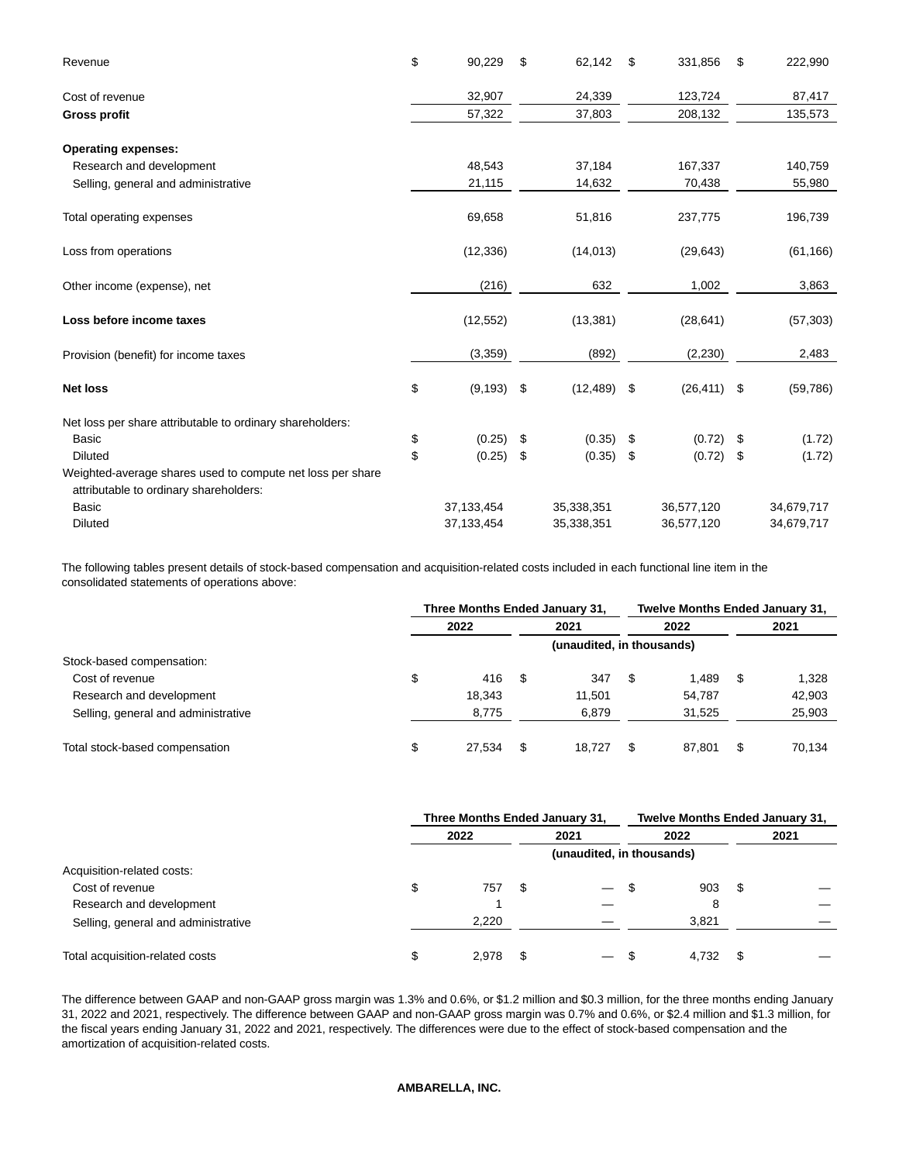| Revenue                                                                                              | \$<br>90,229        | \$<br>62,142 | \$  | 331,856    | \$   | 222,990    |
|------------------------------------------------------------------------------------------------------|---------------------|--------------|-----|------------|------|------------|
| Cost of revenue                                                                                      | 32,907              | 24,339       |     | 123,724    |      | 87,417     |
| <b>Gross profit</b>                                                                                  | 57,322              | 37,803       |     | 208,132    |      | 135,573    |
| <b>Operating expenses:</b>                                                                           |                     |              |     |            |      |            |
| Research and development                                                                             | 48,543              | 37,184       |     | 167,337    |      | 140,759    |
| Selling, general and administrative                                                                  | 21,115              | 14,632       |     | 70,438     |      | 55,980     |
| Total operating expenses                                                                             | 69,658              | 51,816       |     | 237,775    |      | 196,739    |
| Loss from operations                                                                                 | (12, 336)           | (14, 013)    |     | (29, 643)  |      | (61, 166)  |
| Other income (expense), net                                                                          | (216)               | 632          |     | 1,002      |      | 3,863      |
| Loss before income taxes                                                                             | (12, 552)           | (13, 381)    |     | (28, 641)  |      | (57, 303)  |
| Provision (benefit) for income taxes                                                                 | (3,359)             | (892)        |     | (2, 230)   |      | 2,483      |
| <b>Net loss</b>                                                                                      | \$<br>$(9, 193)$ \$ | (12, 489)    | -\$ | (26, 411)  | \$   | (59, 786)  |
| Net loss per share attributable to ordinary shareholders:                                            |                     |              |     |            |      |            |
| <b>Basic</b>                                                                                         | \$<br>(0.25)        | \$<br>(0.35) | \$  | (0.72)     | \$   | (1.72)     |
| <b>Diluted</b>                                                                                       | \$<br>(0.25)        | \$<br>(0.35) | \$  | (0.72)     | - \$ | (1.72)     |
| Weighted-average shares used to compute net loss per share<br>attributable to ordinary shareholders: |                     |              |     |            |      |            |
| <b>Basic</b>                                                                                         | 37, 133, 454        | 35,338,351   |     | 36,577,120 |      | 34,679,717 |
| <b>Diluted</b>                                                                                       | 37,133,454          | 35,338,351   |     | 36,577,120 |      | 34,679,717 |

The following tables present details of stock-based compensation and acquisition-related costs included in each functional line item in the consolidated statements of operations above:

|                                     | Three Months Ended January 31, |     | <b>Twelve Months Ended January 31,</b> |              |    |        |
|-------------------------------------|--------------------------------|-----|----------------------------------------|--------------|----|--------|
|                                     | 2022                           |     | 2021                                   | 2022         |    | 2021   |
|                                     |                                |     | (unaudited, in thousands)              |              |    |        |
| Stock-based compensation:           |                                |     |                                        |              |    |        |
| Cost of revenue                     | \$<br>416                      | -SS | 347                                    | 1.489        | \$ | 1,328  |
| Research and development            | 18.343                         |     | 11.501                                 | 54.787       |    | 42,903 |
| Selling, general and administrative | 8.775                          |     | 6,879                                  | 31,525       |    | 25,903 |
| Total stock-based compensation      | \$<br>27.534                   | -S  | 18.727                                 | \$<br>87,801 | S  | 70,134 |

|                                     | Three Months Ended January 31, |    |                           |      | <b>Twelve Months Ended January 31,</b> |    |      |
|-------------------------------------|--------------------------------|----|---------------------------|------|----------------------------------------|----|------|
|                                     | 2022                           |    | 2021                      |      | 2022                                   |    | 2021 |
|                                     |                                |    | (unaudited, in thousands) |      |                                        |    |      |
| Acquisition-related costs:          |                                |    |                           |      |                                        |    |      |
| Cost of revenue                     | \$<br>757                      |    | $\overline{\phantom{m}}$  |      | 903                                    | \$ |      |
| Research and development            |                                |    |                           |      | 8                                      |    |      |
| Selling, general and administrative | 2,220                          |    |                           |      | 3.821                                  |    |      |
| Total acquisition-related costs     | \$<br>2.978                    | -S | $\overline{\phantom{0}}$  | - \$ | 4,732                                  | \$ |      |

The difference between GAAP and non-GAAP gross margin was 1.3% and 0.6%, or \$1.2 million and \$0.3 million, for the three months ending January 31, 2022 and 2021, respectively. The difference between GAAP and non-GAAP gross margin was 0.7% and 0.6%, or \$2.4 million and \$1.3 million, for the fiscal years ending January 31, 2022 and 2021, respectively. The differences were due to the effect of stock-based compensation and the amortization of acquisition-related costs.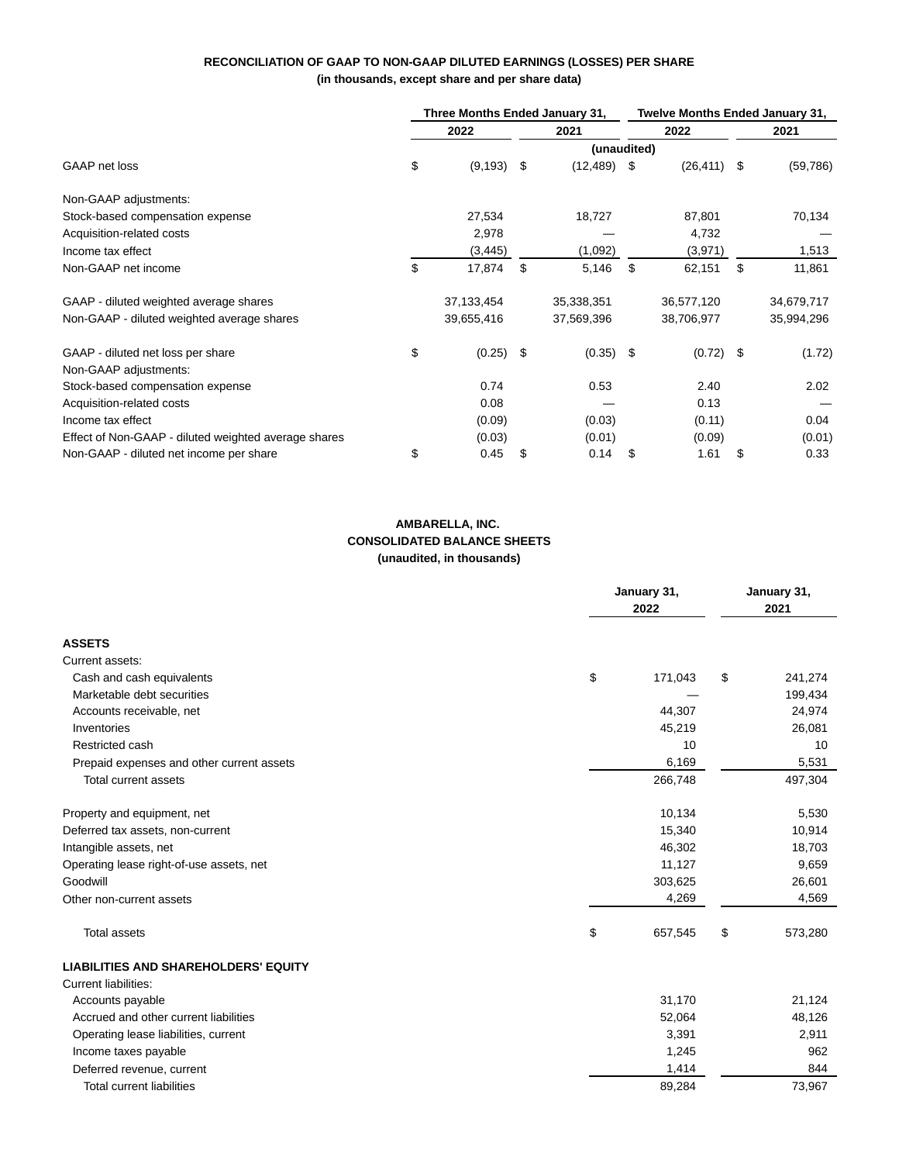## **RECONCILIATION OF GAAP TO NON-GAAP DILUTED EARNINGS (LOSSES) PER SHARE (in thousands, except share and per share data)**

|                                                      | Three Months Ended January 31, |               |    | <b>Twelve Months Ended January 31,</b> |    |             |      |            |
|------------------------------------------------------|--------------------------------|---------------|----|----------------------------------------|----|-------------|------|------------|
|                                                      |                                | 2022          |    | 2021                                   |    | 2022        |      | 2021       |
|                                                      |                                |               |    | (unaudited)                            |    |             |      |            |
| GAAP net loss                                        | \$                             | $(9, 193)$ \$ |    | $(12, 489)$ \$                         |    | (26, 411)   | - \$ | (59, 786)  |
| Non-GAAP adjustments:                                |                                |               |    |                                        |    |             |      |            |
| Stock-based compensation expense                     |                                | 27,534        |    | 18,727                                 |    | 87,801      |      | 70,134     |
| Acquisition-related costs                            |                                | 2,978         |    |                                        |    | 4,732       |      |            |
| Income tax effect                                    |                                | (3, 445)      |    | (1,092)                                |    | (3,971)     |      | 1,513      |
| Non-GAAP net income                                  | \$                             | 17,874        | \$ | 5,146                                  | \$ | 62,151      | \$   | 11,861     |
| GAAP - diluted weighted average shares               |                                | 37,133,454    |    | 35,338,351                             |    | 36,577,120  |      | 34,679,717 |
| Non-GAAP - diluted weighted average shares           |                                | 39,655,416    |    | 37,569,396                             |    | 38,706,977  |      | 35,994,296 |
| GAAP - diluted net loss per share                    | \$                             | $(0.25)$ \$   |    | (0.35)                                 | \$ | $(0.72)$ \$ |      | (1.72)     |
| Non-GAAP adjustments:                                |                                |               |    |                                        |    |             |      |            |
| Stock-based compensation expense                     |                                | 0.74          |    | 0.53                                   |    | 2.40        |      | 2.02       |
| Acquisition-related costs                            |                                | 0.08          |    |                                        |    | 0.13        |      |            |
| Income tax effect                                    |                                | (0.09)        |    | (0.03)                                 |    | (0.11)      |      | 0.04       |
| Effect of Non-GAAP - diluted weighted average shares |                                | (0.03)        |    | (0.01)                                 |    | (0.09)      |      | (0.01)     |
| Non-GAAP - diluted net income per share              | \$                             | 0.45          | \$ | 0.14                                   | \$ | 1.61        | \$   | 0.33       |

## **AMBARELLA, INC. CONSOLIDATED BALANCE SHEETS (unaudited, in thousands)**

|                                             | January 31,<br>2022 |    |         |
|---------------------------------------------|---------------------|----|---------|
| <b>ASSETS</b>                               |                     |    |         |
| Current assets:                             |                     |    |         |
| Cash and cash equivalents                   | \$<br>171,043       | \$ | 241,274 |
| Marketable debt securities                  |                     |    | 199,434 |
| Accounts receivable, net                    | 44,307              |    | 24,974  |
| Inventories                                 | 45,219              |    | 26,081  |
| Restricted cash                             | 10                  |    | 10      |
| Prepaid expenses and other current assets   | 6,169               |    | 5,531   |
| Total current assets                        | 266,748             |    | 497,304 |
| Property and equipment, net                 | 10,134              |    | 5,530   |
| Deferred tax assets, non-current            | 15,340              |    | 10,914  |
| Intangible assets, net                      | 46,302              |    | 18,703  |
| Operating lease right-of-use assets, net    | 11,127              |    | 9,659   |
| Goodwill                                    | 303,625             |    | 26,601  |
| Other non-current assets                    | 4,269               |    | 4,569   |
| <b>Total assets</b>                         | \$<br>657,545       | \$ | 573,280 |
| <b>LIABILITIES AND SHAREHOLDERS' EQUITY</b> |                     |    |         |
| Current liabilities:                        |                     |    |         |
| Accounts payable                            | 31,170              |    | 21,124  |
| Accrued and other current liabilities       | 52,064              |    | 48,126  |
| Operating lease liabilities, current        | 3,391               |    | 2,911   |
| Income taxes payable                        | 1,245               |    | 962     |
| Deferred revenue, current                   | 1,414               |    | 844     |
| <b>Total current liabilities</b>            | 89,284              |    | 73,967  |